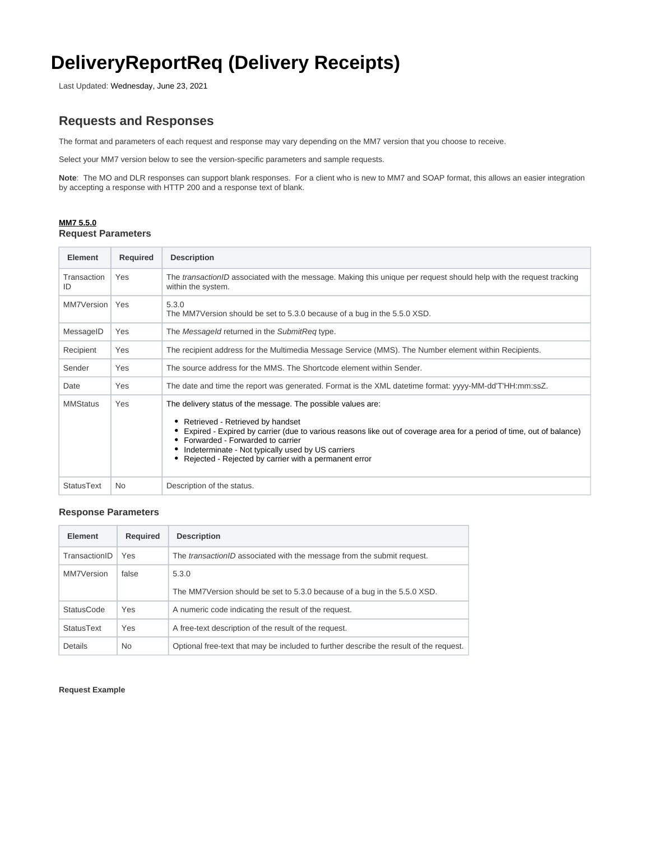# **DeliveryReportReq (Delivery Receipts)**

Last Updated: Wednesday, June 23, 2021

# **Requests and Responses**

The format and parameters of each request and response may vary depending on the MM7 version that you choose to receive.

Select your MM7 version below to see the version-specific parameters and sample requests.

**Note**: The MO and DLR responses can support blank responses. For a client who is new to MM7 and SOAP format, this allows an easier integration by accepting a response with HTTP 200 and a response text of blank.

# **MM7 5.5.0 Request Parameters**

| Element           | <b>Required</b> | <b>Description</b>                                                                                                                                                                                                                                                                                                                                                           |  |
|-------------------|-----------------|------------------------------------------------------------------------------------------------------------------------------------------------------------------------------------------------------------------------------------------------------------------------------------------------------------------------------------------------------------------------------|--|
| Transaction<br>ID | Yes             | The transactionID associated with the message. Making this unique per request should help with the request tracking<br>within the system.                                                                                                                                                                                                                                    |  |
| MM7Version        | Yes             | 5.3.0<br>The MM7Version should be set to 5.3.0 because of a bug in the 5.5.0 XSD.                                                                                                                                                                                                                                                                                            |  |
| MessageID         | Yes             | The Messageld returned in the SubmitReg type.                                                                                                                                                                                                                                                                                                                                |  |
| Recipient         | Yes             | The recipient address for the Multimedia Message Service (MMS). The Number element within Recipients.                                                                                                                                                                                                                                                                        |  |
| Sender            | Yes             | The source address for the MMS. The Shortcode element within Sender.                                                                                                                                                                                                                                                                                                         |  |
| Date              | Yes             | The date and time the report was generated. Format is the XML datetime format: yyyy-MM-dd'T'HH:mm:ssZ.                                                                                                                                                                                                                                                                       |  |
| <b>MMStatus</b>   | Yes             | The delivery status of the message. The possible values are:<br>Retrieved - Retrieved by handset<br>Expired - Expired by carrier (due to various reasons like out of coverage area for a period of time, out of balance)<br>• Forwarded - Forwarded to carrier<br>Indeterminate - Not typically used by US carriers<br>Rejected - Rejected by carrier with a permanent error |  |
| StatusText        | <b>No</b>       | Description of the status.                                                                                                                                                                                                                                                                                                                                                   |  |

# **Response Parameters**

| Element           | <b>Required</b> | <b>Description</b>                                                                     |
|-------------------|-----------------|----------------------------------------------------------------------------------------|
| TransactionID     | Yes             | The <i>transactionID</i> associated with the message from the submit request.          |
| MM7Version        | false           | 5.3.0                                                                                  |
|                   |                 | The MM7Version should be set to 5.3.0 because of a bug in the 5.5.0 XSD.               |
| <b>StatusCode</b> | Yes             | A numeric code indicating the result of the request.                                   |
| <b>StatusText</b> | Yes             | A free-text description of the result of the request.                                  |
| Details           | N <sub>0</sub>  | Optional free-text that may be included to further describe the result of the request. |

**Request Example**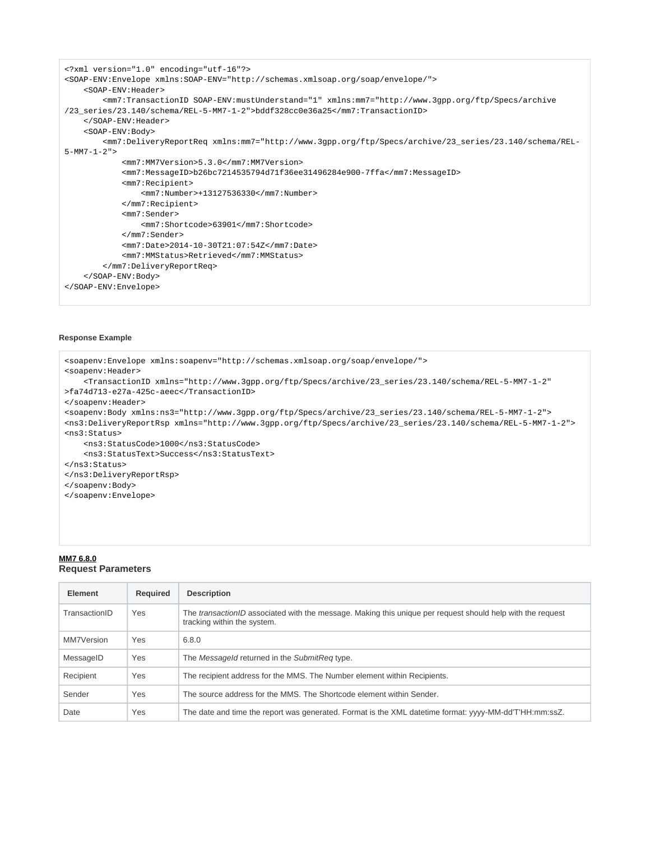```
<?xml version="1.0" encoding="utf-16"?>
<SOAP-ENV:Envelope xmlns:SOAP-ENV="http://schemas.xmlsoap.org/soap/envelope/">
    <SOAP-ENV:Header>
         <mm7:TransactionID SOAP-ENV:mustUnderstand="1" xmlns:mm7="http://www.3gpp.org/ftp/Specs/archive
/23_series/23.140/schema/REL-5-MM7-1-2">bddf328cc0e36a25</mm7:TransactionID>
     </SOAP-ENV:Header>
     <SOAP-ENV:Body>
         <mm7:DeliveryReportReq xmlns:mm7="http://www.3gpp.org/ftp/Specs/archive/23_series/23.140/schema/REL-
5-MM7-1-2" <mm7:MM7Version>5.3.0</mm7:MM7Version>
             <mm7:MessageID>b26bc7214535794d71f36ee31496284e900-7ffa</mm7:MessageID>
             <mm7:Recipient>
                 <mm7:Number>+13127536330</mm7:Number>
             </mm7:Recipient>
             <mm7:Sender>
                 <mm7:Shortcode>63901</mm7:Shortcode>
             </mm7:Sender>
             <mm7:Date>2014-10-30T21:07:54Z</mm7:Date>
             <mm7:MMStatus>Retrieved</mm7:MMStatus>
         </mm7:DeliveryReportReq>
     </SOAP-ENV:Body>
</SOAP-ENV:Envelope>
```
#### **Response Example**

```
<soapenv:Envelope xmlns:soapenv="http://schemas.xmlsoap.org/soap/envelope/">
<soapenv:Header>
     <TransactionID xmlns="http://www.3gpp.org/ftp/Specs/archive/23_series/23.140/schema/REL-5-MM7-1-2"
>fa74d713-e27a-425c-aeec</TransactionID>
</soapenv:Header>
<soapenv:Body xmlns:ns3="http://www.3gpp.org/ftp/Specs/archive/23_series/23.140/schema/REL-5-MM7-1-2">
<ns3:DeliveryReportRsp xmlns="http://www.3gpp.org/ftp/Specs/archive/23_series/23.140/schema/REL-5-MM7-1-2">
<ns3:Status>
     <ns3:StatusCode>1000</ns3:StatusCode>
     <ns3:StatusText>Success</ns3:StatusText>
</ns3:Status>
</ns3:DeliveryReportRsp>
</soapenv:Body>
</soapenv:Envelope>
```
#### **MM7 6.8.0 Request Parameters**

| <b>Element</b> | <b>Required</b> | <b>Description</b>                                                                                                                               |
|----------------|-----------------|--------------------------------------------------------------------------------------------------------------------------------------------------|
| TransactionID  | Yes             | The <i>transactionID</i> associated with the message. Making this unique per request should help with the request<br>tracking within the system. |
| MM7Version     | Yes             | 6.8.0                                                                                                                                            |
| MessageID      | Yes             | The Messageld returned in the SubmitReg type.                                                                                                    |
| Recipient      | Yes             | The recipient address for the MMS. The Number element within Recipients.                                                                         |
| Sender         | Yes             | The source address for the MMS. The Shortcode element within Sender.                                                                             |
| Date           | Yes             | The date and time the report was generated. Format is the XML datetime format: yyyy-MM-dd'T'HH:mm:ssZ.                                           |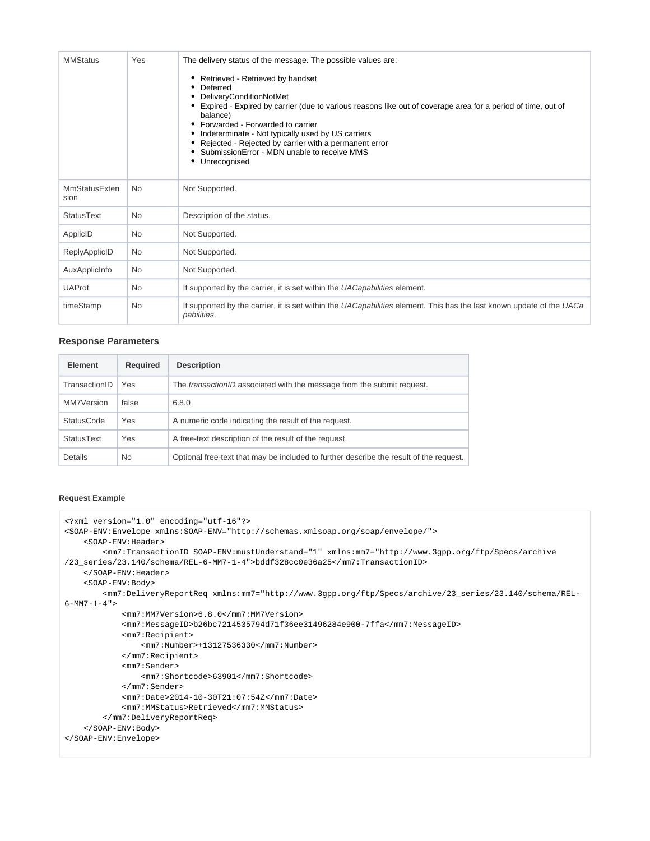| <b>MMStatus</b>              | Yes       | The delivery status of the message. The possible values are:<br>Retrieved - Retrieved by handset<br>Deferred<br>DeliveryConditionNotMet<br>Expired - Expired by carrier (due to various reasons like out of coverage area for a period of time, out of<br>balance)<br>Forwarded - Forwarded to carrier<br>Indeterminate - Not typically used by US carriers<br>٠<br>Rejected - Rejected by carrier with a permanent error<br>SubmissionError - MDN unable to receive MMS<br>Unrecognised |  |
|------------------------------|-----------|------------------------------------------------------------------------------------------------------------------------------------------------------------------------------------------------------------------------------------------------------------------------------------------------------------------------------------------------------------------------------------------------------------------------------------------------------------------------------------------|--|
| <b>MmStatusExten</b><br>sion | <b>No</b> | Not Supported.                                                                                                                                                                                                                                                                                                                                                                                                                                                                           |  |
| <b>StatusText</b>            | <b>No</b> | Description of the status.                                                                                                                                                                                                                                                                                                                                                                                                                                                               |  |
| ApplicID                     | <b>No</b> | Not Supported.                                                                                                                                                                                                                                                                                                                                                                                                                                                                           |  |
| ReplyApplicID                | <b>No</b> | Not Supported.                                                                                                                                                                                                                                                                                                                                                                                                                                                                           |  |
| AuxApplicInfo                | <b>No</b> | Not Supported.                                                                                                                                                                                                                                                                                                                                                                                                                                                                           |  |
| <b>UAProf</b>                | <b>No</b> | If supported by the carrier, it is set within the UACapabilities element.                                                                                                                                                                                                                                                                                                                                                                                                                |  |
| timeStamp                    | <b>No</b> | If supported by the carrier, it is set within the UACapabilities element. This has the last known update of the UACa<br>pabilities.                                                                                                                                                                                                                                                                                                                                                      |  |

## **Response Parameters**

| <b>Element</b>    | Required  | <b>Description</b>                                                                     |
|-------------------|-----------|----------------------------------------------------------------------------------------|
| TransactionID     | Yes       | The <i>transactionID</i> associated with the message from the submit request.          |
| MM7Version        | false     | 6.8.0                                                                                  |
| <b>StatusCode</b> | Yes       | A numeric code indicating the result of the request.                                   |
| <b>StatusText</b> | Yes       | A free-text description of the result of the request.                                  |
| Details           | <b>No</b> | Optional free-text that may be included to further describe the result of the request. |

### **Request Example**

```
<?xml version="1.0" encoding="utf-16"?>
<SOAP-ENV:Envelope xmlns:SOAP-ENV="http://schemas.xmlsoap.org/soap/envelope/">
    <SOAP-ENV:Header>
         <mm7:TransactionID SOAP-ENV:mustUnderstand="1" xmlns:mm7="http://www.3gpp.org/ftp/Specs/archive
/23_series/23.140/schema/REL-6-MM7-1-4">bddf328cc0e36a25</mm7:TransactionID>
    </SOAP-ENV:Header>
    <SOAP-ENV:Body>
         <mm7:DeliveryReportReq xmlns:mm7="http://www.3gpp.org/ftp/Specs/archive/23_series/23.140/schema/REL-
6-MM7-1-4" <mm7:MM7Version>6.8.0</mm7:MM7Version>
             <mm7:MessageID>b26bc7214535794d71f36ee31496284e900-7ffa</mm7:MessageID>
             <mm7:Recipient>
                 <mm7:Number>+13127536330</mm7:Number>
             </mm7:Recipient>
             <mm7:Sender>
                <mm7:Shortcode>63901</mm7:Shortcode>
             </mm7:Sender>
             <mm7:Date>2014-10-30T21:07:54Z</mm7:Date>
             <mm7:MMStatus>Retrieved</mm7:MMStatus>
         </mm7:DeliveryReportReq>
    </SOAP-ENV:Body>
</SOAP-ENV:Envelope>
```